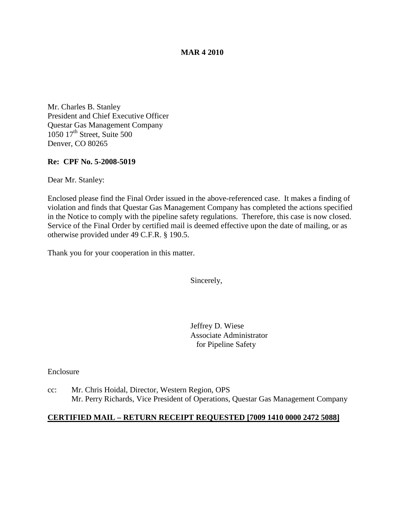#### **MAR 4 2010**

Mr. Charles B. Stanley President and Chief Executive Officer Questar Gas Management Company 1050 17<sup>th</sup> Street, Suite 500 Denver, CO 80265

#### **Re: CPF No. 5-2008-5019**

Dear Mr. Stanley:

Enclosed please find the Final Order issued in the above-referenced case. It makes a finding of violation and finds that Questar Gas Management Company has completed the actions specified in the Notice to comply with the pipeline safety regulations. Therefore, this case is now closed. Service of the Final Order by certified mail is deemed effective upon the date of mailing, or as otherwise provided under 49 C.F.R. § 190.5.

Thank you for your cooperation in this matter.

Sincerely,

Jeffrey D. Wiese Associate Administrator for Pipeline Safety

Enclosure

cc: Mr. Chris Hoidal, Director, Western Region, OPS Mr. Perry Richards, Vice President of Operations, Questar Gas Management Company

#### **CERTIFIED MAIL – RETURN RECEIPT REQUESTED [7009 1410 0000 2472 5088]**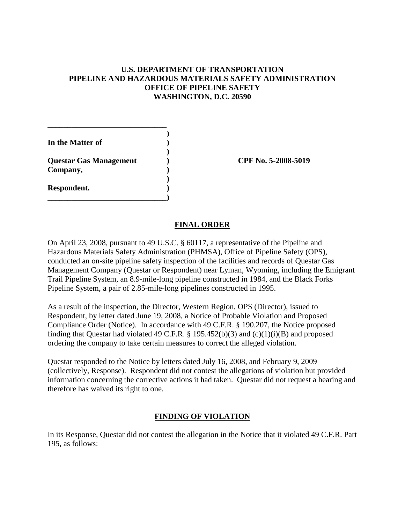## **U.S. DEPARTMENT OF TRANSPORTATION PIPELINE AND HAZARDOUS MATERIALS SAFETY ADMINISTRATION OFFICE OF PIPELINE SAFETY WASHINGTON, D.C. 20590**

| In the Matter of              |                     |
|-------------------------------|---------------------|
|                               |                     |
| <b>Questar Gas Management</b> | CPF No. 5-2008-5019 |
| Company,                      |                     |
|                               |                     |
| Respondent.                   |                     |
|                               |                     |

### **FINAL ORDER**

On April 23, 2008, pursuant to 49 U.S.C. § 60117, a representative of the Pipeline and Hazardous Materials Safety Administration (PHMSA), Office of Pipeline Safety (OPS), conducted an on-site pipeline safety inspection of the facilities and records of Questar Gas Management Company (Questar or Respondent) near Lyman, Wyoming, including the Emigrant Trail Pipeline System, an 8.9-mile-long pipeline constructed in 1984, and the Black Forks Pipeline System, a pair of 2.85-mile-long pipelines constructed in 1995.

As a result of the inspection, the Director, Western Region, OPS (Director), issued to Respondent, by letter dated June 19, 2008, a Notice of Probable Violation and Proposed Compliance Order (Notice). In accordance with 49 C.F.R. § 190.207, the Notice proposed finding that Questar had violated 49 C.F.R. § 195.452(b)(3) and (c)(1)(i)(B) and proposed ordering the company to take certain measures to correct the alleged violation.

Questar responded to the Notice by letters dated July 16, 2008, and February 9, 2009 (collectively, Response). Respondent did not contest the allegations of violation but provided information concerning the corrective actions it had taken. Questar did not request a hearing and therefore has waived its right to one.

# **FINDING OF VIOLATION**

In its Response, Questar did not contest the allegation in the Notice that it violated 49 C.F.R. Part 195, as follows: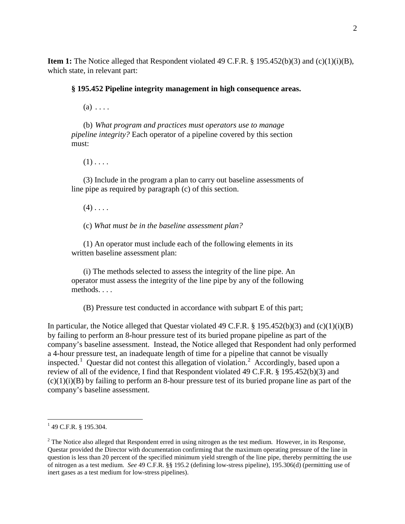**Item 1:** The Notice alleged that Respondent violated 49 C.F.R. § 195.452(b)(3) and (c)(1)(i)(B), which state, in relevant part:

**§ 195.452 Pipeline integrity management in high consequence areas.**

 $(a) \ldots$ 

(b) *What program and practices must operators use to manage pipeline integrity?* Each operator of a pipeline covered by this section must:

 $(1)$ ....

(3) Include in the program a plan to carry out baseline assessments of line pipe as required by paragraph (c) of this section.

 $(4)$ ...

(c) *What must be in the baseline assessment plan?*

(1) An operator must include each of the following elements in its written baseline assessment plan:

(i) The methods selected to assess the integrity of the line pipe. An operator must assess the integrity of the line pipe by any of the following methods. . . .

(B) Pressure test conducted in accordance with subpart E of this part;

In particular, the Notice alleged that Questar violated 49 C.F.R. § 195.452(b)(3) and (c)(1)(i)(B) by failing to perform an 8-hour pressure test of its buried propane pipeline as part of the company's baseline assessment. Instead, the Notice alleged that Respondent had only performed a 4-hour pressure test, an inadequate length of time for a pipeline that cannot be visually inspected.<sup>[1](#page-2-0)</sup> Questar did not contest this allegation of violation.<sup>[2](#page-2-1)</sup> Accordingly, based upon a review of all of the evidence, I find that Respondent violated 49 C.F.R. § 195.452(b)(3) and  $(c)(1)(i)(B)$  by failing to perform an 8-hour pressure test of its buried propane line as part of the company's baseline assessment.

<span id="page-2-0"></span> $1$  49 C.F.R. § 195.304.

<span id="page-2-1"></span> $2$  The Notice also alleged that Respondent erred in using nitrogen as the test medium. However, in its Response, Questar provided the Director with documentation confirming that the maximum operating pressure of the line in question is less than 20 percent of the specified minimum yield strength of the line pipe, thereby permitting the use of nitrogen as a test medium. *See* 49 C.F.R. §§ 195.2 (defining low-stress pipeline), 195.306(d) (permitting use of inert gases as a test medium for low-stress pipelines).